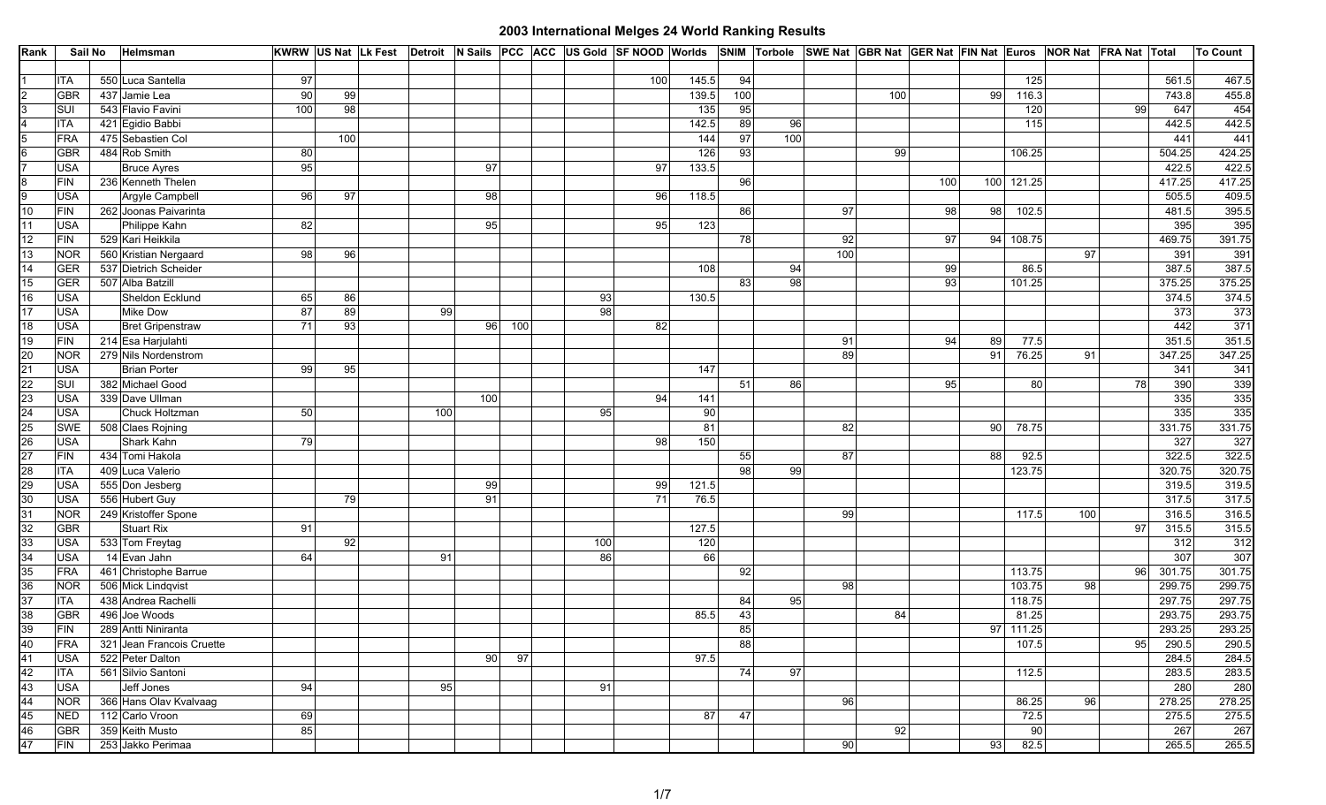| Rank                                                            | Sail No     | Helmsman                  |     | KWRW US Nat Lk Fest Detroit N Sails PCC ACC US Gold SF NOOD Worlds SNIM Torbole SWE Nat GBR Nat GER Nat FIN Nat Euros NOR Nat FRA Nat Total |     |     |     |                 |     |       |     |     |                 |     |     |    |            |     |    |        | <b>To Count</b> |
|-----------------------------------------------------------------|-------------|---------------------------|-----|---------------------------------------------------------------------------------------------------------------------------------------------|-----|-----|-----|-----------------|-----|-------|-----|-----|-----------------|-----|-----|----|------------|-----|----|--------|-----------------|
|                                                                 |             |                           |     |                                                                                                                                             |     |     |     |                 |     |       |     |     |                 |     |     |    |            |     |    |        |                 |
|                                                                 | <b>ITA</b>  | 550 Luca Santella         | 97  |                                                                                                                                             |     |     |     |                 | 100 | 145.5 | 94  |     |                 |     |     |    | 125        |     |    | 561.5  | 467.5           |
| $\overline{2}$                                                  | <b>GBR</b>  | 437 Jamie Lea             | 90  | 99                                                                                                                                          |     |     |     |                 |     | 139.5 | 100 |     |                 | 100 |     | 99 | 116.3      |     |    | 743.8  | 455.8           |
| $\overline{3}$                                                  | SUI         | 543 Flavio Favini         | 100 | 98                                                                                                                                          |     |     |     |                 |     | 135   | 95  |     |                 |     |     |    | 120        |     | 99 | 647    | 454             |
| $\overline{4}$                                                  | <b>ITA</b>  | 421 Egidio Babbi          |     |                                                                                                                                             |     |     |     |                 |     | 142.5 | 89  | -96 |                 |     |     |    | 115        |     |    | 442.5  | 442.5           |
| $5\overline{)}$                                                 | <b>FRA</b>  | 475 Sebastien Col         |     | 100                                                                                                                                         |     |     |     |                 |     | 144   | 97  | 100 |                 |     |     |    |            |     |    | 441    | 441             |
| $6\overline{6}$                                                 | <b>GBR</b>  | 484 Rob Smith             | 80  |                                                                                                                                             |     |     |     |                 |     | 126   | 93  |     |                 | 99  |     |    | 106.25     |     |    | 504.25 | 424.25          |
| $\overline{7}$                                                  | <b>USA</b>  | <b>Bruce Ayres</b>        | 95  |                                                                                                                                             |     | 97  |     |                 | 97  | 133.5 |     |     |                 |     |     |    |            |     |    | 422.5  | 422.5           |
| $\infty$                                                        | <b>FIN</b>  | 236 Kenneth Thelen        |     |                                                                                                                                             |     |     |     |                 |     |       | 96  |     |                 |     | 100 |    | 100 121.25 |     |    | 417.25 | 417.25          |
| $\overline{9}$                                                  | <b>USA</b>  | Argyle Campbell           | 96  | 97                                                                                                                                          |     | 98  |     |                 | 96  | 118.5 |     |     |                 |     |     |    |            |     |    | 505.5  | 409.5           |
| 10                                                              | <b>FIN</b>  | 262 Joonas Paivarinta     |     |                                                                                                                                             |     |     |     |                 |     |       | 86  |     | 97              |     | 98  | 98 | 102.5      |     |    | 481.5  | 395.5           |
| 11                                                              | <b>USA</b>  | Philippe Kahn             | 82  |                                                                                                                                             |     | 95  |     |                 | 95  | 123   |     |     |                 |     |     |    |            |     |    | 395    | 395             |
| 12                                                              | <b>FIN</b>  | 529 Kari Heikkila         |     |                                                                                                                                             |     |     |     |                 |     |       | 78  |     | 92              |     | 97  |    | 94 108.75  |     |    | 469.75 | 391.75          |
| 13                                                              | <b>NOR</b>  | 560 Kristian Nergaard     | 98  | 96                                                                                                                                          |     |     |     |                 |     |       |     |     | 100             |     |     |    |            | 97  |    | 391    | 391             |
| 14                                                              | <b>GER</b>  | 537 Dietrich Scheider     |     |                                                                                                                                             |     |     |     |                 |     | 108   |     | 94  |                 |     | 99  |    | 86.5       |     |    | 387.5  | 387.5           |
| 15                                                              | <b>GER</b>  | 507 Alba Batzill          |     |                                                                                                                                             |     |     |     |                 |     |       | 83  | 98  |                 |     | 93  |    | 101.25     |     |    | 375.25 | 375.25          |
| 16                                                              | <b>USA</b>  | Sheldon Ecklund           | 65  | 86                                                                                                                                          |     |     |     | 93              |     | 130.5 |     |     |                 |     |     |    |            |     |    | 374.5  | 374.5           |
| $\overline{17}$                                                 | <b>USA</b>  | <b>Mike Dow</b>           | 87  | 89                                                                                                                                          | 99  |     |     | $\overline{98}$ |     |       |     |     |                 |     |     |    |            |     |    | 373    | 373             |
| 18                                                              | <b>USA</b>  | <b>Bret Gripenstraw</b>   | 71  | 93                                                                                                                                          |     | 96  | 100 |                 | 82  |       |     |     |                 |     |     |    |            |     |    | 442    | 371             |
| 19                                                              | ${\sf FIN}$ | 214 Esa Harjulahti        |     |                                                                                                                                             |     |     |     |                 |     |       |     |     | 91              |     | 94  | 89 | 77.5       |     |    | 351.5  | 351.5           |
| $\overline{20}$                                                 | <b>NOR</b>  | 279 Nils Nordenstrom      |     |                                                                                                                                             |     |     |     |                 |     |       |     |     | 89              |     |     | 91 | 76.25      | 91  |    | 347.25 | 347.25          |
|                                                                 | <b>USA</b>  | <b>Brian Porter</b>       | 99  | 95                                                                                                                                          |     |     |     |                 |     | 147   |     |     |                 |     |     |    |            |     |    | 341    | 341             |
|                                                                 | SUI         | 382 Michael Good          |     |                                                                                                                                             |     |     |     |                 |     |       | 51  | 86  |                 |     | 95  |    | 80         |     | 78 | 390    | 339             |
|                                                                 | <b>USA</b>  | 339 Dave Ullman           |     |                                                                                                                                             |     | 100 |     |                 | 94  | 141   |     |     |                 |     |     |    |            |     |    | 335    | 335             |
| $\frac{21}{22}$ $\frac{23}{24}$ $\frac{24}{25}$ $\frac{25}{26}$ | <b>USA</b>  | Chuck Holtzman            | 50  |                                                                                                                                             | 100 |     |     | 95              |     | 90    |     |     |                 |     |     |    |            |     |    | 335    | 335             |
|                                                                 | <b>SWE</b>  | 508 Claes Rojning         |     |                                                                                                                                             |     |     |     |                 |     | 81    |     |     | 82              |     |     | 90 | 78.75      |     |    | 331.75 | 331.75          |
|                                                                 | <b>USA</b>  | Shark Kahn                | 79  |                                                                                                                                             |     |     |     |                 | 98  | 150   |     |     |                 |     |     |    |            |     |    | 327    | 327             |
| 27                                                              | <b>FIN</b>  | 434 Tomi Hakola           |     |                                                                                                                                             |     |     |     |                 |     |       | 55  |     | 87              |     |     | 88 | 92.5       |     |    | 322.5  | 322.5           |
|                                                                 | <b>ITA</b>  | 409 Luca Valerio          |     |                                                                                                                                             |     |     |     |                 |     |       | 98  | 99  |                 |     |     |    | 123.75     |     |    | 320.75 | 320.75          |
|                                                                 | <b>USA</b>  | 555 Don Jesberg           |     |                                                                                                                                             |     | 99  |     |                 | 99  | 121.5 |     |     |                 |     |     |    |            |     |    | 319.5  | 319.5           |
| 28<br>29<br>30                                                  | <b>USA</b>  | 556 Hubert Guy            |     | 79                                                                                                                                          |     | 91  |     |                 | 71  | 76.5  |     |     |                 |     |     |    |            |     |    | 317.5  | 317.5           |
|                                                                 | <b>NOR</b>  | 249 Kristoffer Spone      |     |                                                                                                                                             |     |     |     |                 |     |       |     |     | 99              |     |     |    | 117.5      | 100 |    | 316.5  | 316.5           |
| $\frac{31}{32}$                                                 | <b>GBR</b>  | <b>Stuart Rix</b>         | 91  |                                                                                                                                             |     |     |     |                 |     | 127.5 |     |     |                 |     |     |    |            |     | 97 | 315.5  | 315.5           |
| 33                                                              | <b>USA</b>  | 533 Tom Freytag           |     | 92                                                                                                                                          |     |     |     | 100             |     | 120   |     |     |                 |     |     |    |            |     |    | 312    | 312             |
| $\frac{34}{35}$                                                 | <b>USA</b>  | 14 Evan Jahn              | 64  |                                                                                                                                             | 91  |     |     | 86              |     | 66    |     |     |                 |     |     |    |            |     |    | 307    | 307             |
|                                                                 | <b>FRA</b>  | 461 Christophe Barrue     |     |                                                                                                                                             |     |     |     |                 |     |       | 92  |     |                 |     |     |    | 113.75     |     | 96 | 301.75 | 301.75          |
| 36                                                              | <b>NOR</b>  | 506 Mick Lindqvist        |     |                                                                                                                                             |     |     |     |                 |     |       |     |     | 98              |     |     |    | 103.75     | 98  |    | 299.75 | 299.75          |
| 37                                                              | <b>ITA</b>  | 438 Andrea Rachelli       |     |                                                                                                                                             |     |     |     |                 |     |       | 84  | 95  |                 |     |     |    | 118.75     |     |    | 297.75 | 297.75          |
| 38                                                              | <b>GBR</b>  | 496 Joe Woods             |     |                                                                                                                                             |     |     |     |                 |     | 85.5  | 43  |     |                 | 84  |     |    | 81.25      |     |    | 293.75 | 293.75          |
| 39                                                              | <b>FIN</b>  | 289 Antti Niniranta       |     |                                                                                                                                             |     |     |     |                 |     |       | 85  |     |                 |     |     |    | 97 111.25  |     |    | 293.25 | 293.25          |
| 40                                                              | <b>FRA</b>  | 321 Jean Francois Cruette |     |                                                                                                                                             |     |     |     |                 |     |       | 88  |     |                 |     |     |    | 107.5      |     | 95 | 290.5  | 290.5           |
| $\overline{41}$                                                 | <b>USA</b>  | 522 Peter Dalton          |     |                                                                                                                                             |     | 90  | 97  |                 |     | 97.5  |     |     |                 |     |     |    |            |     |    | 284.5  | 284.5           |
| 42                                                              | <b>ITA</b>  | 561 Silvio Santoni        |     |                                                                                                                                             |     |     |     |                 |     |       | 74  | 97  |                 |     |     |    | 112.5      |     |    | 283.5  | 283.5           |
| 43                                                              | <b>USA</b>  | Jeff Jones                | 94  |                                                                                                                                             | 95  |     |     | 91              |     |       |     |     |                 |     |     |    |            |     |    | 280    | 280             |
| 44                                                              | <b>NOR</b>  | 366 Hans Olav Kvalvaag    |     |                                                                                                                                             |     |     |     |                 |     |       |     |     | 96              |     |     |    | 86.25      | 96  |    | 278.25 | 278.25          |
| 45                                                              | <b>NED</b>  | 112 Carlo Vroon           | 69  |                                                                                                                                             |     |     |     |                 |     | 87    | 47  |     |                 |     |     |    | 72.5       |     |    | 275.5  | 275.5           |
| 46                                                              | GBR         | 359 Keith Musto           | 85  |                                                                                                                                             |     |     |     |                 |     |       |     |     |                 | 92  |     |    | 90         |     |    | 267    | 267             |
| $\overline{47}$                                                 | <b>FIN</b>  | 253 Jakko Perimaa         |     |                                                                                                                                             |     |     |     |                 |     |       |     |     | 90 <sub>1</sub> |     |     | 93 | 82.5       |     |    | 265.5  | 265.5           |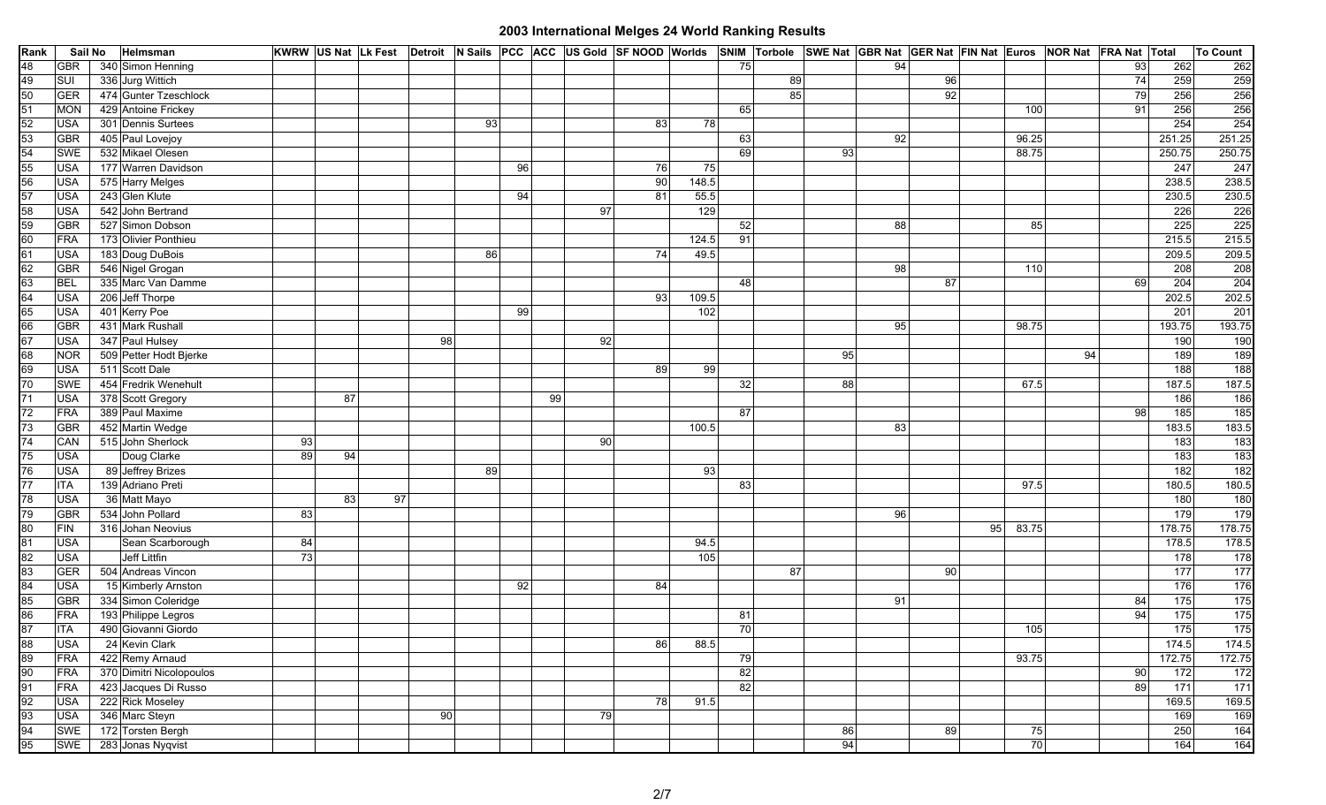| Rank                                              | Sail No    | Helmsman                 |    |    |    |    |    |    |    |    |       |                 |    |          | KWRW US Nat Lk Fest Detroit N Sails PCC ACC US Gold SF NOOD Worlds SNIM Torbole SWE Nat GBR Nat GER Nat FIN Nat Euros NOR Nat FRA Nat Total |        |                 |                 | To Count         |
|---------------------------------------------------|------------|--------------------------|----|----|----|----|----|----|----|----|-------|-----------------|----|----------|---------------------------------------------------------------------------------------------------------------------------------------------|--------|-----------------|-----------------|------------------|
| 48                                                | <b>GBR</b> | 340 Simon Henning        |    |    |    |    |    |    |    |    |       | 75              |    | 94       |                                                                                                                                             |        | 93              | 262             | 262              |
| 49                                                | SUI        | 336 Jurg Wittich         |    |    |    |    |    |    |    |    |       |                 | 89 |          | 96                                                                                                                                          |        | 74              | 259             | 259              |
| 50                                                | GER        | 474 Gunter Tzeschlock    |    |    |    |    |    |    |    |    |       |                 | 85 |          | 92                                                                                                                                          |        | 79              | 256             | 256              |
| 51                                                | <b>MON</b> | 429 Antoine Frickey      |    |    |    |    |    |    |    |    |       | 65              |    |          | 100                                                                                                                                         |        | 91              | 256             | 256              |
| 52                                                | <b>USA</b> | 301 Dennis Surtees       |    |    |    |    | 93 |    |    | 83 | 78    |                 |    |          |                                                                                                                                             |        |                 | 254             | 254              |
|                                                   | GBR        | 405 Paul Lovejoy         |    |    |    |    |    |    |    |    |       | 63              |    | 92       | 96.25                                                                                                                                       |        |                 | 251.25          | 251.25           |
|                                                   | <b>SWE</b> | 532 Mikael Olesen        |    |    |    |    |    |    |    |    |       | 69              |    | 93       | 88.75                                                                                                                                       |        |                 | 250.75          | 250.75           |
| $\begin{array}{c}\n 53 \\ 54 \\ 55\n \end{array}$ | <b>USA</b> | 177 Warren Davidson      |    |    |    |    |    | 96 |    | 76 | 75    |                 |    |          |                                                                                                                                             |        |                 | 247             | 247              |
| 56                                                | <b>USA</b> | 575 Harry Melges         |    |    |    |    |    |    |    | 90 | 148.5 |                 |    |          |                                                                                                                                             |        |                 | 238.5           | 238.5            |
| 57                                                | <b>USA</b> | 243 Glen Klute           |    |    |    |    |    | 94 |    | 81 | 55.5  |                 |    |          |                                                                                                                                             |        |                 | 230.5           | 230.5            |
| 58                                                | <b>USA</b> | 542 John Bertrand        |    |    |    |    |    |    | 97 |    | 129   |                 |    |          |                                                                                                                                             |        |                 | 226             | 226              |
| 59                                                | GBR        | 527 Simon Dobson         |    |    |    |    |    |    |    |    |       | 52              |    | 88       |                                                                                                                                             | 85     |                 | 225             | 225              |
| 60                                                | FRA        | 173 Olivier Ponthieu     |    |    |    |    |    |    |    |    | 124.5 | 91              |    |          |                                                                                                                                             |        |                 | 215.5           | 215.5            |
| 61                                                | <b>USA</b> | 183 Doug DuBois          |    |    |    |    | 86 |    |    | 74 | 49.5  |                 |    |          |                                                                                                                                             |        |                 | 209.5           | 209.5            |
| 62                                                | GBR        | 546 Nigel Grogan         |    |    |    |    |    |    |    |    |       |                 |    | 98       | 110                                                                                                                                         |        |                 | 208             | 208              |
| 63                                                | <b>BEL</b> | 335 Marc Van Damme       |    |    |    |    |    |    |    |    |       | 48              |    |          | 87                                                                                                                                          |        | 69              | 204             | 204              |
| $\frac{64}{65}$                                   | <b>USA</b> | 206 Jeff Thorpe          |    |    |    |    |    |    |    | 93 | 109.5 |                 |    |          |                                                                                                                                             |        |                 | 202.5           | 202.5            |
|                                                   | <b>USA</b> | 401 Kerry Poe            |    |    |    |    |    | 99 |    |    | 102   |                 |    |          |                                                                                                                                             |        |                 | 201             | 201              |
| 66<br>67                                          | GBR        | 431 Mark Rushall         |    |    |    |    |    |    |    |    |       |                 |    | 95       | 98.75                                                                                                                                       |        |                 | 193.75          | 193.75           |
|                                                   | <b>USA</b> | 347 Paul Hulsey          |    |    |    | 98 |    |    | 92 |    |       |                 |    |          |                                                                                                                                             |        |                 | 190             | 190              |
| 68                                                | <b>NOR</b> | 509 Petter Hodt Bjerke   |    |    |    |    |    |    |    |    |       |                 |    | 95       |                                                                                                                                             | 94     |                 | 189             | 189              |
| 69                                                | <b>USA</b> | 511 Scott Dale           |    |    |    |    |    |    |    | 89 | 99    |                 |    |          |                                                                                                                                             |        |                 | 188             | 188              |
| 70                                                | <b>SWE</b> | 454 Fredrik Wenehult     |    |    |    |    |    |    |    |    |       | 32              |    | 88       | 67.5                                                                                                                                        |        |                 | 187.5           | 187.5            |
| 71                                                | <b>USA</b> | 378 Scott Gregory        |    | 87 |    |    |    | 99 |    |    |       |                 |    |          |                                                                                                                                             |        |                 | 186             | 186              |
| 72                                                | FRA        | 389 Paul Maxime          |    |    |    |    |    |    |    |    |       | 87 <sup>°</sup> |    |          |                                                                                                                                             |        | 98              | 185             | 185              |
| 73                                                | GBR        | 452 Martin Wedge         |    |    |    |    |    |    |    |    | 100.5 |                 |    | 83       |                                                                                                                                             |        |                 | 183.5           | 183.5            |
| 74                                                | CAN        | 515 John Sherlock        | 93 |    |    |    |    |    | 90 |    |       |                 |    |          |                                                                                                                                             |        |                 | $\frac{1}{183}$ | $\frac{183}{ }$  |
| 75                                                | <b>USA</b> | Doug Clarke              | 89 | 94 |    |    |    |    |    |    |       |                 |    |          |                                                                                                                                             |        |                 | 183             | 183              |
| 76                                                | <b>USA</b> | 89 Jeffrey Brizes        |    |    |    |    | 89 |    |    |    | 93    |                 |    |          |                                                                                                                                             |        |                 | 182             | 182              |
| 77                                                | <b>ITA</b> | 139 Adriano Preti        |    |    |    |    |    |    |    |    |       | 83              |    |          | 97.5                                                                                                                                        |        |                 | 180.5           | 180.5            |
| 78                                                | <b>USA</b> | 36 Matt Mayo             |    | 83 | 97 |    |    |    |    |    |       |                 |    |          |                                                                                                                                             |        |                 | 180             | 180              |
| 79                                                | <b>GBR</b> | 534 John Pollard         | 83 |    |    |    |    |    |    |    |       |                 |    | 96       |                                                                                                                                             |        |                 | 179             | 179              |
| 80                                                | FIN        | 316 Johan Neovius        |    |    |    |    |    |    |    |    |       |                 |    |          | 95<br>83.75                                                                                                                                 |        |                 | 178.75          | 178.75           |
| 81                                                | <b>USA</b> | Sean Scarborough         | 84 |    |    |    |    |    |    |    | 94.5  |                 |    |          |                                                                                                                                             |        |                 | 178.5           | 178.5            |
| $\frac{82}{83}$                                   | <b>USA</b> | Jeff Littfin             | 73 |    |    |    |    |    |    |    | 105   |                 |    |          |                                                                                                                                             |        |                 | 178             | $\frac{1}{178}$  |
|                                                   | GER        | 504 Andreas Vincon       |    |    |    |    |    |    |    |    |       |                 | 87 |          | 90                                                                                                                                          |        |                 | 177             | 177              |
| 84                                                | <b>USA</b> | 15 Kimberly Arnston      |    |    |    |    |    | 92 |    | 84 |       |                 |    |          |                                                                                                                                             |        |                 | 176             | 176              |
| 85                                                | <b>GBR</b> | 334 Simon Coleridge      |    |    |    |    |    |    |    |    |       |                 |    | 91       |                                                                                                                                             |        | 84              | 175             | 175              |
| 86                                                | <b>FRA</b> | 193 Philippe Legros      |    |    |    |    |    |    |    |    |       | 81              |    |          |                                                                                                                                             |        | 94              | $\frac{1}{175}$ | 175              |
| $\overline{87}$                                   | <b>ITA</b> | 490 Giovanni Giordo      |    |    |    |    |    |    |    |    |       | 70              |    |          | 105                                                                                                                                         |        |                 | 175             | 175              |
| 88<br>89                                          | <b>USA</b> | 24 Kevin Clark           |    |    |    |    |    |    |    | 86 | 88.5  |                 |    |          |                                                                                                                                             |        |                 | 174.5           | 174.5            |
|                                                   | <b>FRA</b> | 422 Remy Arnaud          |    |    |    |    |    |    |    |    |       | 79              |    |          | 93.75                                                                                                                                       |        |                 | 172.75          | 172.75           |
| 90                                                | FRA        | 370 Dimitri Nicolopoulos |    |    |    |    |    |    |    |    |       | 82              |    |          |                                                                                                                                             |        | 90 <sub>l</sub> | $\boxed{172}$   | 172              |
| 91                                                | FRA        | 423 Jacques Di Russo     |    |    |    |    |    |    |    |    |       | 82              |    |          |                                                                                                                                             |        | 89              | $\frac{1}{171}$ | $\overline{171}$ |
| 92                                                | <b>USA</b> | 222 Rick Moseley         |    |    |    |    |    |    |    | 78 | 91.5  |                 |    |          |                                                                                                                                             |        |                 | 169.5<br>169    | 169.5            |
| 93                                                | <b>USA</b> | 346 Marc Steyn           |    |    |    | 90 |    |    | 79 |    |       |                 |    |          |                                                                                                                                             |        |                 |                 | 169              |
| ਰ<br>ਹੋ                                           | SWE        | 172 Torsten Bergh        |    |    |    |    |    |    |    |    |       |                 |    | 86<br>94 | 89                                                                                                                                          | 75     |                 | 250             | 164              |
|                                                   | SWE        | 283 Jonas Nyqvist        |    |    |    |    |    |    |    |    |       |                 |    |          |                                                                                                                                             | $70\,$ |                 | 164             | 164              |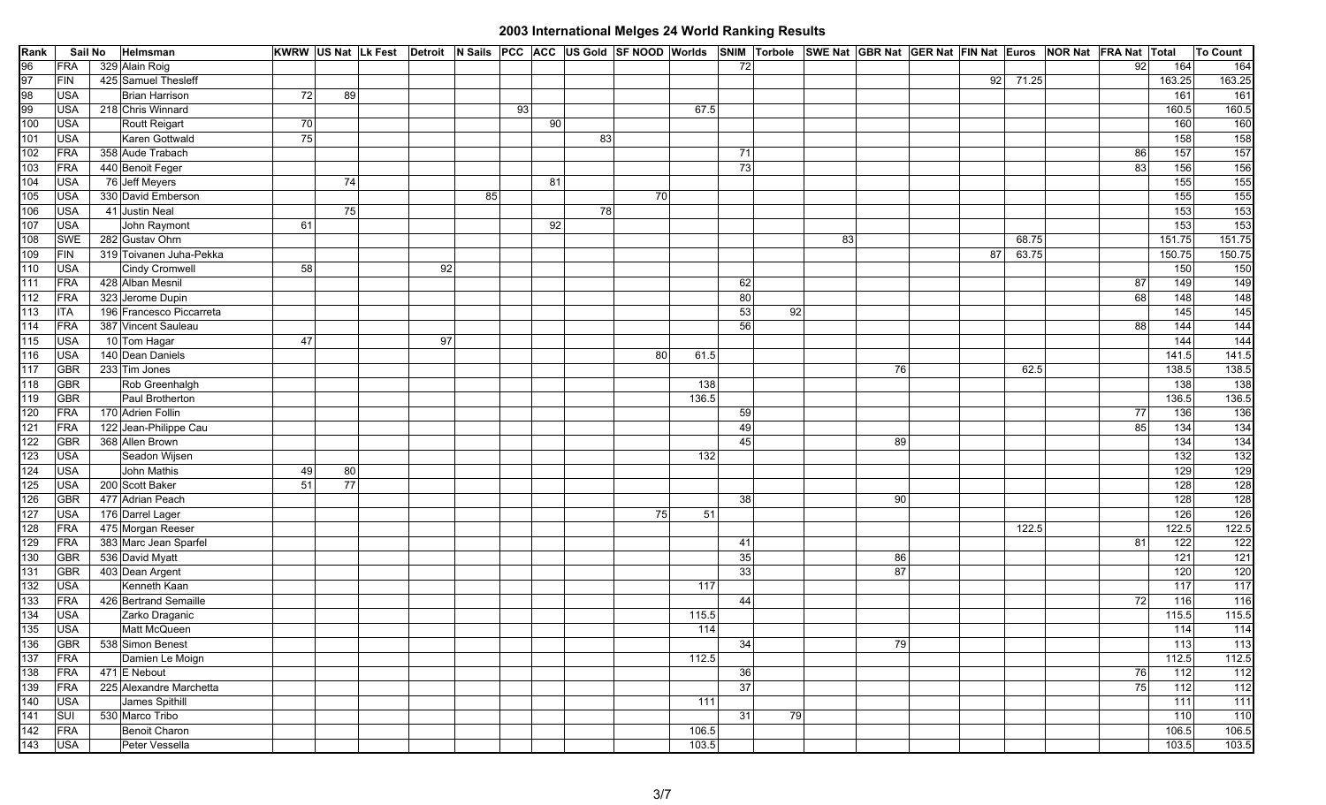| Rank            | Sail No    | Helmsman                 |    |    |    |    | KWRW US Nat Lk Fest Detroit N Sails PCC ACC US Gold SF NOOD Worlds SNIM Torbole |    |    |       |    |    | SWE Nat GBR Nat GER Nat FIN Nat Euros NOR Nat FRA Nat Total |    |    |       |     |                   | To Count         |
|-----------------|------------|--------------------------|----|----|----|----|---------------------------------------------------------------------------------|----|----|-------|----|----|-------------------------------------------------------------|----|----|-------|-----|-------------------|------------------|
| 96              | FRA        | 329 Alain Roig           |    |    |    |    |                                                                                 |    |    |       | 72 |    |                                                             |    |    |       | 92  | 164               | 164              |
| 97              | FIN        | 425 Samuel Thesleff      |    |    |    |    |                                                                                 |    |    |       |    |    |                                                             |    | 92 | 71.25 |     | 163.25            | 163.25           |
| 98              | <b>USA</b> | Brian Harrison           | 72 | 89 |    |    |                                                                                 |    |    |       |    |    |                                                             |    |    |       |     | 161               | 161              |
| 99              | <b>USA</b> | 218 Chris Winnard        |    |    |    |    | 93                                                                              |    |    | 67.5  |    |    |                                                             |    |    |       |     | 160.5             | 160.5            |
| 100             | <b>USA</b> | Routt Reigart            | 70 |    |    |    | 90                                                                              |    |    |       |    |    |                                                             |    |    |       |     | 160               | 160              |
| 101             | <b>USA</b> | Karen Gottwald           | 75 |    |    |    |                                                                                 | 83 |    |       |    |    |                                                             |    |    |       |     | 158               | 158              |
| 102             | FRA        | 358 Aude Trabach         |    |    |    |    |                                                                                 |    |    |       | 71 |    |                                                             |    |    |       | 86  | $\frac{157}{ }$   | 157              |
| 103             | FRA        | 440 Benoit Feger         |    |    |    |    |                                                                                 |    |    |       | 73 |    |                                                             |    |    |       | -83 | 156               | 156              |
| 104             | <b>USA</b> | 76 Jeff Meyers           |    | 74 |    |    | 81                                                                              |    |    |       |    |    |                                                             |    |    |       |     | 155               | $\boxed{155}$    |
| 105             | <b>USA</b> | 330 David Emberson       |    |    |    | 85 |                                                                                 |    | 70 |       |    |    |                                                             |    |    |       |     | 155               | 155              |
| 106             | <b>USA</b> | 41 Justin Neal           |    | 75 |    |    |                                                                                 | 78 |    |       |    |    |                                                             |    |    |       |     | 153               | $\boxed{153}$    |
| 107             | <b>USA</b> | John Raymont             | 61 |    |    |    | 92                                                                              |    |    |       |    |    |                                                             |    |    |       |     | 153               | $\boxed{153}$    |
| 108             | <b>SWE</b> | 282 Gustav Ohrn          |    |    |    |    |                                                                                 |    |    |       |    |    | 83                                                          |    |    | 68.75 |     | 151.75            | 151.75           |
| 109             | FIN        | 319 Toivanen Juha-Pekka  |    |    |    |    |                                                                                 |    |    |       |    |    |                                                             |    | 87 | 63.75 |     | 150.75            | 150.75           |
| 110             | <b>USA</b> | Cindy Cromwell           | 58 |    | 92 |    |                                                                                 |    |    |       |    |    |                                                             |    |    |       |     | 150               | 150              |
| 111             | FRA        | 428 Alban Mesnil         |    |    |    |    |                                                                                 |    |    |       | 62 |    |                                                             |    |    |       | 87  | 149               | 149              |
| 112             | FRA        | 323 Jerome Dupin         |    |    |    |    |                                                                                 |    |    |       | 80 |    |                                                             |    |    |       | 68  | 148               | $\boxed{148}$    |
| 113             | <b>ITA</b> | 196 Francesco Piccarreta |    |    |    |    |                                                                                 |    |    |       | 53 | 92 |                                                             |    |    |       |     | $\frac{145}{ }$   | 145              |
| 114             | FRA        | 387 Vincent Sauleau      |    |    |    |    |                                                                                 |    |    |       | 56 |    |                                                             |    |    |       | 88  | 144               | 144              |
| 115             | <b>USA</b> | 10 Tom Hagar             | 47 |    | 97 |    |                                                                                 |    |    |       |    |    |                                                             |    |    |       |     | 144               | 144              |
| 116             | <b>USA</b> | 140 Dean Daniels         |    |    |    |    |                                                                                 |    | 80 | 61.5  |    |    |                                                             |    |    |       |     | 141.5             | 141.5            |
| 117             | <b>GBR</b> | 233 Tim Jones            |    |    |    |    |                                                                                 |    |    |       |    |    |                                                             | 76 |    | 62.5  |     | 138.5             | 138.5            |
| 118             | <b>GBR</b> | Rob Greenhalgh           |    |    |    |    |                                                                                 |    |    | 138   |    |    |                                                             |    |    |       |     | 138               | $\boxed{138}$    |
| 119             | <b>GBR</b> | Paul Brotherton          |    |    |    |    |                                                                                 |    |    | 136.5 |    |    |                                                             |    |    |       |     | 136.5             | 136.5            |
| 120             | <b>FRA</b> | 170 Adrien Follin        |    |    |    |    |                                                                                 |    |    |       | 59 |    |                                                             |    |    |       | 77  | 136               | $\boxed{136}$    |
| 121             | FRA        | 122 Jean-Philippe Cau    |    |    |    |    |                                                                                 |    |    |       | 49 |    |                                                             |    |    |       | 85  | 134               | 134              |
| 122             | <b>GBR</b> | 368 Allen Brown          |    |    |    |    |                                                                                 |    |    |       | 45 |    |                                                             | 89 |    |       |     | 134               | 134              |
| 123             | <b>USA</b> | Seadon Wijsen            |    |    |    |    |                                                                                 |    |    | 132   |    |    |                                                             |    |    |       |     | 132               | $132$            |
| 124             | <b>USA</b> | John Mathis              | 49 | 80 |    |    |                                                                                 |    |    |       |    |    |                                                             |    |    |       |     | 129               | 129              |
| 125             | <b>USA</b> | 200 Scott Baker          | 51 | 77 |    |    |                                                                                 |    |    |       |    |    |                                                             |    |    |       |     | 128               | 128              |
| 126             | <b>GBR</b> | 477 Adrian Peach         |    |    |    |    |                                                                                 |    |    |       | 38 |    |                                                             | 90 |    |       |     | 128               | 128              |
| 127             | <b>USA</b> | 176 Darrel Lager         |    |    |    |    |                                                                                 |    | 75 | 51    |    |    |                                                             |    |    |       |     | 126               | 126              |
| 128             | FRA        | 475 Morgan Reeser        |    |    |    |    |                                                                                 |    |    |       |    |    |                                                             |    |    | 122.5 |     | 122.5             | 122.5            |
| 129             | FRA        | 383 Marc Jean Sparfel    |    |    |    |    |                                                                                 |    |    |       | 41 |    |                                                             |    |    |       | 81  | 122               | $\boxed{122}$    |
| 130             | <b>GBR</b> | 536 David Myatt          |    |    |    |    |                                                                                 |    |    |       | 35 |    |                                                             | 86 |    |       |     | $\overline{121}$  | $\overline{121}$ |
| 131             | <b>GBR</b> | 403 Dean Argent          |    |    |    |    |                                                                                 |    |    |       | 33 |    |                                                             | 87 |    |       |     | 120               | 120              |
| 132             | <b>USA</b> | Kenneth Kaan             |    |    |    |    |                                                                                 |    |    | 117   |    |    |                                                             |    |    |       |     | $\frac{117}{117}$ | 117              |
| 133             | FRA        | 426 Bertrand Semaille    |    |    |    |    |                                                                                 |    |    |       | 44 |    |                                                             |    |    |       | 72  | $\frac{116}{ }$   | $\boxed{116}$    |
| 134             | <b>USA</b> | Zarko Draganic           |    |    |    |    |                                                                                 |    |    | 115.5 |    |    |                                                             |    |    |       |     | 115.5             | 115.5            |
| $\frac{1}{135}$ | <b>USA</b> | Matt McQueen             |    |    |    |    |                                                                                 |    |    | 114   |    |    |                                                             |    |    |       |     | 114               | $\boxed{114}$    |
| 136             | <b>GBR</b> | 538 Simon Benest         |    |    |    |    |                                                                                 |    |    |       | 34 |    |                                                             | 79 |    |       |     | 113               | 113              |
| 137             | <b>FRA</b> | Damien Le Moign          |    |    |    |    |                                                                                 |    |    | 112.5 |    |    |                                                             |    |    |       |     | 112.5             | 112.5            |
| 138             | <b>FRA</b> | 471 E Nebout             |    |    |    |    |                                                                                 |    |    |       | 36 |    |                                                             |    |    |       | 76  | 112               | 112              |
| 139             | FRA        | 225 Alexandre Marchetta  |    |    |    |    |                                                                                 |    |    |       | 37 |    |                                                             |    |    |       | 75  | 112               | 112              |
| 140             | <b>USA</b> | James Spithill           |    |    |    |    |                                                                                 |    |    | 111   |    |    |                                                             |    |    |       |     | 111               | 111              |
| 141             | SUI        | 530 Marco Tribo          |    |    |    |    |                                                                                 |    |    |       | 31 | 79 |                                                             |    |    |       |     | 110               | 110              |
| 142             | FRA        | Benoit Charon            |    |    |    |    |                                                                                 |    |    | 106.5 |    |    |                                                             |    |    |       |     | 106.5             | 106.5            |
| $\frac{1}{143}$ | <b>USA</b> | Peter Vessella           |    |    |    |    |                                                                                 |    |    | 103.5 |    |    |                                                             |    |    |       |     | 103.5             | 103.5            |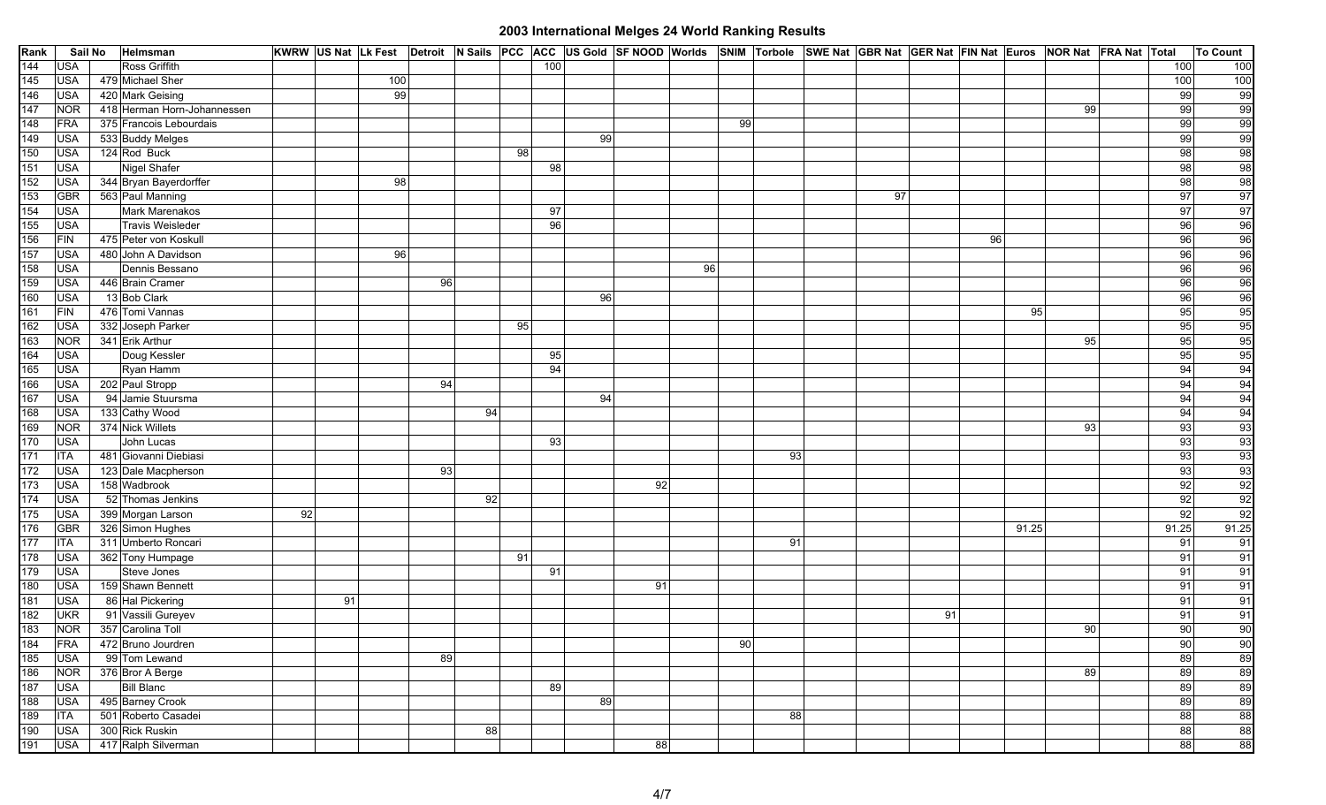| Rank | Sail No    | Helmsman                    |    | KWRW US Nat Lk Fest Detroit N Sails PCC ACC US Gold SF NOOD Worlds SNIM Torbole SWE Nat GBR Nat GER Nat FIN Nat Euros NOR Nat FRA Nat Total |    |    |    |     |    |    |    |    |    |    |    |    |       |    |       | To Count                                                                                                                                                                                            |
|------|------------|-----------------------------|----|---------------------------------------------------------------------------------------------------------------------------------------------|----|----|----|-----|----|----|----|----|----|----|----|----|-------|----|-------|-----------------------------------------------------------------------------------------------------------------------------------------------------------------------------------------------------|
| 144  | <b>USA</b> | Ross Griffith               |    |                                                                                                                                             |    |    |    | 100 |    |    |    |    |    |    |    |    |       |    | 100   | 100                                                                                                                                                                                                 |
| 145  | <b>USA</b> | 479 Michael Sher            |    | 100                                                                                                                                         |    |    |    |     |    |    |    |    |    |    |    |    |       |    | 100   | 100                                                                                                                                                                                                 |
| 146  | <b>USA</b> | 420 Mark Geising            |    | 99                                                                                                                                          |    |    |    |     |    |    |    |    |    |    |    |    |       |    | 99    |                                                                                                                                                                                                     |
| 147  | <b>NOR</b> | 418 Herman Horn-Johannessen |    |                                                                                                                                             |    |    |    |     |    |    |    |    |    |    |    |    |       | 99 | 99    |                                                                                                                                                                                                     |
| 148  | FRA        | 375 Francois Lebourdais     |    |                                                                                                                                             |    |    |    |     |    |    |    | 99 |    |    |    |    |       |    | 99    |                                                                                                                                                                                                     |
| 149  | <b>USA</b> | 533 Buddy Melges            |    |                                                                                                                                             |    |    |    |     | 99 |    |    |    |    |    |    |    |       |    | 99    |                                                                                                                                                                                                     |
| 150  | <b>USA</b> | 124 Rod Buck                |    |                                                                                                                                             |    |    | 98 |     |    |    |    |    |    |    |    |    |       |    | 98    |                                                                                                                                                                                                     |
| 151  | <b>USA</b> | Nigel Shafer                |    |                                                                                                                                             |    |    |    | 98  |    |    |    |    |    |    |    |    |       |    | 98    |                                                                                                                                                                                                     |
| 152  | <b>USA</b> | 344 Bryan Bayerdorffer      |    | 98                                                                                                                                          |    |    |    |     |    |    |    |    |    |    |    |    |       |    | 98    |                                                                                                                                                                                                     |
| 153  | <b>GBR</b> | 563 Paul Manning            |    |                                                                                                                                             |    |    |    |     |    |    |    |    |    | 97 |    |    |       |    | 97    |                                                                                                                                                                                                     |
| 154  | <b>USA</b> | Mark Marenakos              |    |                                                                                                                                             |    |    |    | 97  |    |    |    |    |    |    |    |    |       |    | 97    |                                                                                                                                                                                                     |
| 155  | <b>USA</b> | Travis Weisleder            |    |                                                                                                                                             |    |    |    | 96  |    |    |    |    |    |    |    |    |       |    | 96    |                                                                                                                                                                                                     |
| 156  | FIN        | 475 Peter von Koskull       |    |                                                                                                                                             |    |    |    |     |    |    |    |    |    |    |    | 96 |       |    | 96    |                                                                                                                                                                                                     |
| 157  | <b>USA</b> | 480 John A Davidson         |    | 96                                                                                                                                          |    |    |    |     |    |    |    |    |    |    |    |    |       |    | 96    |                                                                                                                                                                                                     |
| 158  | <b>USA</b> | Dennis Bessano              |    |                                                                                                                                             |    |    |    |     |    |    | 96 |    |    |    |    |    |       |    | 96    |                                                                                                                                                                                                     |
| 159  | <b>USA</b> | 446 Brain Cramer            |    |                                                                                                                                             | 96 |    |    |     |    |    |    |    |    |    |    |    |       |    | 96    |                                                                                                                                                                                                     |
| 160  | <b>USA</b> | 13 Bob Clark                |    |                                                                                                                                             |    |    |    |     | 96 |    |    |    |    |    |    |    |       |    | 96    |                                                                                                                                                                                                     |
| 161  | FIN        | 476 Tomi Vannas             |    |                                                                                                                                             |    |    |    |     |    |    |    |    |    |    |    |    | 95    |    | 95    |                                                                                                                                                                                                     |
| 162  | USA        | 332 Joseph Parker           |    |                                                                                                                                             |    |    | 95 |     |    |    |    |    |    |    |    |    |       |    | 95    |                                                                                                                                                                                                     |
| 163  | <b>NOR</b> | 341 Erik Arthur             |    |                                                                                                                                             |    |    |    |     |    |    |    |    |    |    |    |    |       | 95 | 95    |                                                                                                                                                                                                     |
| 164  | <b>USA</b> | Doug Kessler                |    |                                                                                                                                             |    |    |    | 95  |    |    |    |    |    |    |    |    |       |    | 95    |                                                                                                                                                                                                     |
| 165  | <b>USA</b> | Ryan Hamm                   |    |                                                                                                                                             |    |    |    | 94  |    |    |    |    |    |    |    |    |       |    | 94    |                                                                                                                                                                                                     |
| 166  | <b>USA</b> | 202 Paul Stropp             |    |                                                                                                                                             | 94 |    |    |     |    |    |    |    |    |    |    |    |       |    | 94    |                                                                                                                                                                                                     |
| 167  | <b>USA</b> | 94 Jamie Stuursma           |    |                                                                                                                                             |    |    |    |     | 94 |    |    |    |    |    |    |    |       |    | 94    |                                                                                                                                                                                                     |
| 168  | <b>USA</b> | 133 Cathy Wood              |    |                                                                                                                                             |    | 94 |    |     |    |    |    |    |    |    |    |    |       |    | 94    | $\frac{1}{2}$ $\frac{1}{2}$ $\frac{1}{2}$ $\frac{1}{2}$ $\frac{1}{2}$ $\frac{1}{2}$ $\frac{1}{2}$ $\frac{1}{2}$ $\frac{1}{2}$ $\frac{1}{2}$ $\frac{1}{2}$ $\frac{1}{2}$ $\frac{1}{2}$ $\frac{1}{2}$ |
| 169  | <b>NOR</b> | 374 Nick Willets            |    |                                                                                                                                             |    |    |    |     |    |    |    |    |    |    |    |    |       | 93 | 93    |                                                                                                                                                                                                     |
| 170  | <b>USA</b> | John Lucas                  |    |                                                                                                                                             |    |    |    | 93  |    |    |    |    |    |    |    |    |       |    | 93    |                                                                                                                                                                                                     |
| 171  | <b>ITA</b> | 481 Giovanni Diebiasi       |    |                                                                                                                                             |    |    |    |     |    |    |    |    | 93 |    |    |    |       |    | 93    |                                                                                                                                                                                                     |
| 172  | <b>USA</b> | 123 Dale Macpherson         |    |                                                                                                                                             | 93 |    |    |     |    |    |    |    |    |    |    |    |       |    | 93    |                                                                                                                                                                                                     |
| 173  | <b>USA</b> | 158 Wadbrook                |    |                                                                                                                                             |    |    |    |     |    | 92 |    |    |    |    |    |    |       |    | 92    |                                                                                                                                                                                                     |
| 174  | <b>USA</b> | 52 Thomas Jenkins           |    |                                                                                                                                             |    | 92 |    |     |    |    |    |    |    |    |    |    |       |    | 92    |                                                                                                                                                                                                     |
| 175  | <b>USA</b> | 399 Morgan Larson           | 92 |                                                                                                                                             |    |    |    |     |    |    |    |    |    |    |    |    |       |    | 92    | 92                                                                                                                                                                                                  |
| 176  | <b>GBR</b> | 326 Simon Hughes            |    |                                                                                                                                             |    |    |    |     |    |    |    |    |    |    |    |    | 91.25 |    | 91.25 | 91.25                                                                                                                                                                                               |
| 177  | <b>ITA</b> | 311 Umberto Roncari         |    |                                                                                                                                             |    |    |    |     |    |    |    |    | 91 |    |    |    |       |    | 91    | 91                                                                                                                                                                                                  |
| 178  | <b>USA</b> | 362 Tony Humpage            |    |                                                                                                                                             |    |    | 91 |     |    |    |    |    |    |    |    |    |       |    | 91    |                                                                                                                                                                                                     |
| 179  | <b>USA</b> | Steve Jones                 |    |                                                                                                                                             |    |    |    | 91  |    |    |    |    |    |    |    |    |       |    | 91    | $\frac{91}{91}$                                                                                                                                                                                     |
| 180  | <b>USA</b> | 159 Shawn Bennett           |    |                                                                                                                                             |    |    |    |     |    | 91 |    |    |    |    |    |    |       |    | 91    |                                                                                                                                                                                                     |
| 181  | <b>USA</b> | 86 Hal Pickering            |    | 91                                                                                                                                          |    |    |    |     |    |    |    |    |    |    |    |    |       |    | 91    | $\frac{91}{91}$                                                                                                                                                                                     |
| 182  | <b>UKR</b> | 91 Vassili Gureyev          |    |                                                                                                                                             |    |    |    |     |    |    |    |    |    |    | 91 |    |       |    | 91    |                                                                                                                                                                                                     |
| 183  | <b>NOR</b> | 357 Carolina Toll           |    |                                                                                                                                             |    |    |    |     |    |    |    |    |    |    |    |    |       | 90 | 90    | 90                                                                                                                                                                                                  |
| 184  | <b>FRA</b> | 472 Bruno Jourdren          |    |                                                                                                                                             |    |    |    |     |    |    |    | 90 |    |    |    |    |       |    | 90    | $90\,$                                                                                                                                                                                              |
| 185  | <b>USA</b> | 99 Tom Lewand               |    |                                                                                                                                             | 89 |    |    |     |    |    |    |    |    |    |    |    |       |    | 89    | 89                                                                                                                                                                                                  |
| 186  | <b>NOR</b> | 376 Bror A Berge            |    |                                                                                                                                             |    |    |    |     |    |    |    |    |    |    |    |    |       | 89 | 89    | 89                                                                                                                                                                                                  |
| 187  | <b>USA</b> | <b>Bill Blanc</b>           |    |                                                                                                                                             |    |    |    | 89  |    |    |    |    |    |    |    |    |       |    | 89    | 89                                                                                                                                                                                                  |
| 188  | <b>USA</b> | 495 Barney Crook            |    |                                                                                                                                             |    |    |    |     | 89 |    |    |    |    |    |    |    |       |    | 89    | 89                                                                                                                                                                                                  |
| 189  | <b>ITA</b> | 501 Roberto Casadei         |    |                                                                                                                                             |    |    |    |     |    |    |    |    | 88 |    |    |    |       |    | 88    | 88                                                                                                                                                                                                  |
| 190  | <b>USA</b> | 300 Rick Ruskin             |    |                                                                                                                                             |    | 88 |    |     |    |    |    |    |    |    |    |    |       |    | 88    | 88                                                                                                                                                                                                  |
| 191  | <b>USA</b> | 417 Ralph Silverman         |    |                                                                                                                                             |    |    |    |     |    | 88 |    |    |    |    |    |    |       |    | 88    | 88                                                                                                                                                                                                  |
|      |            |                             |    |                                                                                                                                             |    |    |    |     |    |    |    |    |    |    |    |    |       |    |       |                                                                                                                                                                                                     |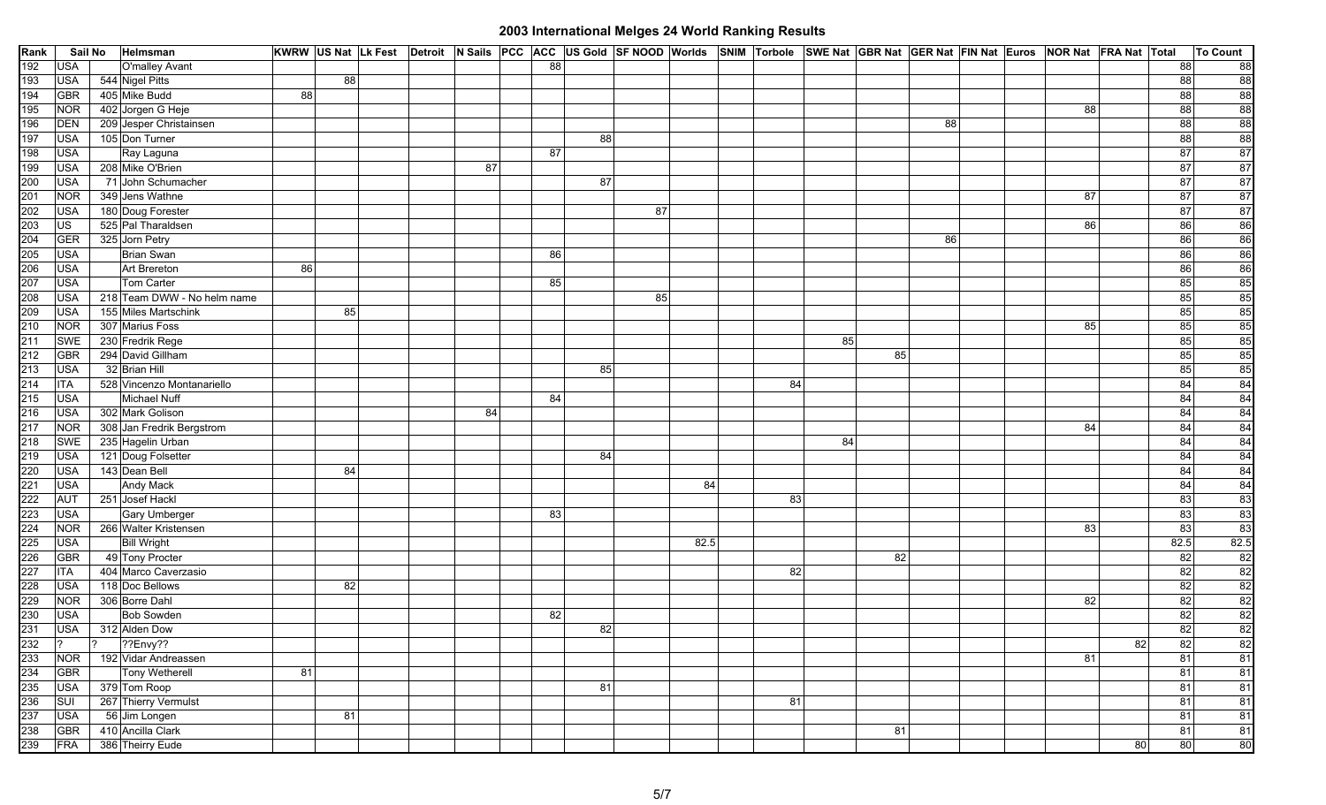| Rank       | Sail No                        | Helmsman                                |    |    |  |    | KWRW US Nat Lk Fest Detroit N Sails PCC ACC US Gold SF NOOD Worlds SNIM Torbole SWE Nat GBR Nat GER Nat FIN Nat Euros NOR Nat FRA Nat Total |    |    |      |    |    |    |    |  |    |    |                 | To Count                                    |
|------------|--------------------------------|-----------------------------------------|----|----|--|----|---------------------------------------------------------------------------------------------------------------------------------------------|----|----|------|----|----|----|----|--|----|----|-----------------|---------------------------------------------|
| 192        | <b>USA</b>                     | O'malley Avant                          |    |    |  |    | 88                                                                                                                                          |    |    |      |    |    |    |    |  |    |    | 88              | 88                                          |
| 193        | <b>USA</b>                     | 544 Nigel Pitts                         |    | 88 |  |    |                                                                                                                                             |    |    |      |    |    |    |    |  |    |    | 88              | $\begin{array}{c}\n 88 \\ 88\n\end{array}$  |
| 194        | <b>GBR</b>                     | 405 Mike Budd                           | 88 |    |  |    |                                                                                                                                             |    |    |      |    |    |    |    |  |    |    | 88              |                                             |
| 195        | <b>NOR</b>                     | 402 Jorgen G Heje                       |    |    |  |    |                                                                                                                                             |    |    |      |    |    |    |    |  | 88 |    | 88              | 88                                          |
| 196        | <b>DEN</b>                     | 209 Jesper Christainsen                 |    |    |  |    |                                                                                                                                             |    |    |      |    |    |    | 88 |  |    |    | $\overline{88}$ | 88                                          |
| 197        | <b>USA</b>                     | 105 Don Turner                          |    |    |  |    |                                                                                                                                             | 88 |    |      |    |    |    |    |  |    |    | 88              | 88                                          |
| 198        | <b>USA</b>                     | Ray Laguna                              |    |    |  |    | 87                                                                                                                                          |    |    |      |    |    |    |    |  |    |    | 87              | 87                                          |
| 199        | <b>USA</b>                     | 208 Mike O'Brien                        |    |    |  | 87 |                                                                                                                                             |    |    |      |    |    |    |    |  |    |    | 87              | 87                                          |
| 200        | <b>USA</b>                     | 71 John Schumacher                      |    |    |  |    |                                                                                                                                             | 87 |    |      |    |    |    |    |  |    |    | 87              | 87                                          |
| 201        | <b>NOR</b>                     | 349 Jens Wathne                         |    |    |  |    |                                                                                                                                             |    |    |      |    |    |    |    |  | 87 |    | 87              | 87                                          |
| 202        | <b>USA</b>                     | 180 Doug Forester                       |    |    |  |    |                                                                                                                                             |    | 87 |      |    |    |    |    |  |    |    | $\overline{87}$ | $\overline{87}$                             |
| 203        | $\overline{\cup}$ s            | 525 Pal Tharaldsen                      |    |    |  |    |                                                                                                                                             |    |    |      |    |    |    |    |  | 86 |    | 86              | 86                                          |
| 204        | <b>GER</b>                     | 325 Jorn Petry                          |    |    |  |    |                                                                                                                                             |    |    |      |    |    |    | 86 |  |    |    | 86              | 86                                          |
| 205        | <b>USA</b>                     | <b>Brian Swan</b>                       |    |    |  |    | 86                                                                                                                                          |    |    |      |    |    |    |    |  |    |    | 86              | $\frac{86}{86}$                             |
| 206        | <b>USA</b>                     | Art Brereton                            | 86 |    |  |    |                                                                                                                                             |    |    |      |    |    |    |    |  |    |    | 86              |                                             |
| 207        | <b>USA</b>                     | Tom Carter                              |    |    |  |    | 85                                                                                                                                          |    |    |      |    |    |    |    |  |    |    | 85              | 85                                          |
| 208        | <b>USA</b>                     | 218 Team DWW - No helm name             |    |    |  |    |                                                                                                                                             |    | 85 |      |    |    |    |    |  |    |    | 85              | 85                                          |
| 209        | <b>USA</b>                     | 155 Miles Martschink                    |    | 85 |  |    |                                                                                                                                             |    |    |      |    |    |    |    |  |    |    | 85              | 85                                          |
| 210        | <b>NOR</b>                     | 307 Marius Foss                         |    |    |  |    |                                                                                                                                             |    |    |      |    |    |    |    |  | 85 |    | 85              | 85                                          |
| 211        | <b>SWE</b>                     | 230 Fredrik Rege                        |    |    |  |    |                                                                                                                                             |    |    |      |    | 85 |    |    |  |    |    | 85              | 85                                          |
| 212        | <b>GBR</b>                     | 294 David Gillham                       |    |    |  |    |                                                                                                                                             |    |    |      |    |    | 85 |    |  |    |    | 85              | 85                                          |
| 213        | <b>USA</b>                     | 32 Brian Hill                           |    |    |  |    |                                                                                                                                             | 85 |    |      |    |    |    |    |  |    |    | 85              | 85                                          |
| 214        | <b>ITA</b>                     | 528 Vincenzo Montanariello              |    |    |  |    |                                                                                                                                             |    |    |      | 84 |    |    |    |  |    |    | 84              | 84                                          |
| 215        | <b>USA</b>                     | Michael Nuff                            |    |    |  |    | 84                                                                                                                                          |    |    |      |    |    |    |    |  |    |    | 84              | 84                                          |
| 216        | <b>USA</b>                     | 302 Mark Golison                        |    |    |  | 84 |                                                                                                                                             |    |    |      |    |    |    |    |  |    |    | 84              | 84                                          |
| 217        | <b>NOR</b>                     | 308 Jan Fredrik Bergstrom               |    |    |  |    |                                                                                                                                             |    |    |      |    |    |    |    |  | 84 |    | 84              | $\frac{84}{84}$                             |
| 218        | <b>SWE</b>                     | 235 Hagelin Urban                       |    |    |  |    |                                                                                                                                             |    |    |      |    | 84 |    |    |  |    |    | 84              |                                             |
| 219        | <b>USA</b>                     | 121 Doug Folsetter                      |    |    |  |    |                                                                                                                                             | 84 |    |      |    |    |    |    |  |    |    | 84              | 84                                          |
| 220        | <b>USA</b>                     | 143 Dean Bell                           |    | 84 |  |    |                                                                                                                                             |    |    |      |    |    |    |    |  |    |    | 84              | 84                                          |
| 221        | <b>USA</b>                     | Andy Mack                               |    |    |  |    |                                                                                                                                             |    |    | 84   |    |    |    |    |  |    |    | 84              | 84                                          |
| 222        | <b>AUT</b>                     | 251 Josef Hackl                         |    |    |  |    |                                                                                                                                             |    |    |      | 83 |    |    |    |  |    |    | 83              | 83                                          |
| 223        | <b>USA</b>                     | <b>Gary Umberger</b>                    |    |    |  |    | 83                                                                                                                                          |    |    |      |    |    |    |    |  |    |    | 83              | 83                                          |
| 224        | <b>NOR</b>                     | 266 Walter Kristensen                   |    |    |  |    |                                                                                                                                             |    |    |      |    |    |    |    |  | 83 |    | 83              | 83                                          |
| 225        | <b>USA</b>                     | <b>Bill Wright</b>                      |    |    |  |    |                                                                                                                                             |    |    | 82.5 |    |    |    |    |  |    |    | 82.5            | 82.5                                        |
| 226        | <b>GBR</b>                     | 49 Tony Procter                         |    |    |  |    |                                                                                                                                             |    |    |      | 82 |    | 82 |    |  |    |    | 82<br>82        | 82<br>82                                    |
| 227        | <b>ITA</b><br><b>USA</b>       | 404 Marco Caverzasio<br>118 Doc Bellows |    |    |  |    |                                                                                                                                             |    |    |      |    |    |    |    |  |    |    | 82              |                                             |
| 228<br>229 | <b>NOR</b>                     | 306 Borre Dahl                          |    | 82 |  |    |                                                                                                                                             |    |    |      |    |    |    |    |  | 82 |    | 82              |                                             |
| 230        | <b>USA</b>                     | <b>Bob Sowden</b>                       |    |    |  |    |                                                                                                                                             |    |    |      |    |    |    |    |  |    |    | 82              | $\begin{array}{c}\n 82 \\ 82\n \end{array}$ |
| 231        | <b>USA</b>                     | 312 Alden Dow                           |    |    |  |    | 82                                                                                                                                          | 82 |    |      |    |    |    |    |  |    |    | 82              | 82                                          |
| 232        | $ 2 \rangle$<br>$\overline{2}$ | ??Envy??                                |    |    |  |    |                                                                                                                                             |    |    |      |    |    |    |    |  |    | 82 | 82              | 82                                          |
| 233        | <b>NOR</b>                     | 192 Vidar Andreassen                    |    |    |  |    |                                                                                                                                             |    |    |      |    |    |    |    |  | 81 |    | 81              | $\overline{\mathbf{8}}$                     |
| 234        | GBR                            | <b>Tony Wetherell</b>                   | 81 |    |  |    |                                                                                                                                             |    |    |      |    |    |    |    |  |    |    | 81              | 81                                          |
| 235        | <b>USA</b>                     | 379 Tom Roop                            |    |    |  |    |                                                                                                                                             | 81 |    |      |    |    |    |    |  |    |    | 81              | $\overline{\mathbf{8}}$                     |
| 236        | SUI                            | 267 Thierry Vermulst                    |    |    |  |    |                                                                                                                                             |    |    |      | 81 |    |    |    |  |    |    | 81              | 81                                          |
| 237        | <b>USA</b>                     | 56 Jim Longen                           |    | 81 |  |    |                                                                                                                                             |    |    |      |    |    |    |    |  |    |    | 81              | $\overline{\mathbf{8}}$                     |
| 238        | <b>GBR</b>                     | 410 Ancilla Clark                       |    |    |  |    |                                                                                                                                             |    |    |      |    |    | 81 |    |  |    |    | 81              | $\overline{\mathbf{8}}$                     |
| 239        | <b>FRA</b>                     | 386 Theirry Eude                        |    |    |  |    |                                                                                                                                             |    |    |      |    |    |    |    |  |    | 80 | 80              | 80                                          |
|            |                                |                                         |    |    |  |    |                                                                                                                                             |    |    |      |    |    |    |    |  |    |    |                 |                                             |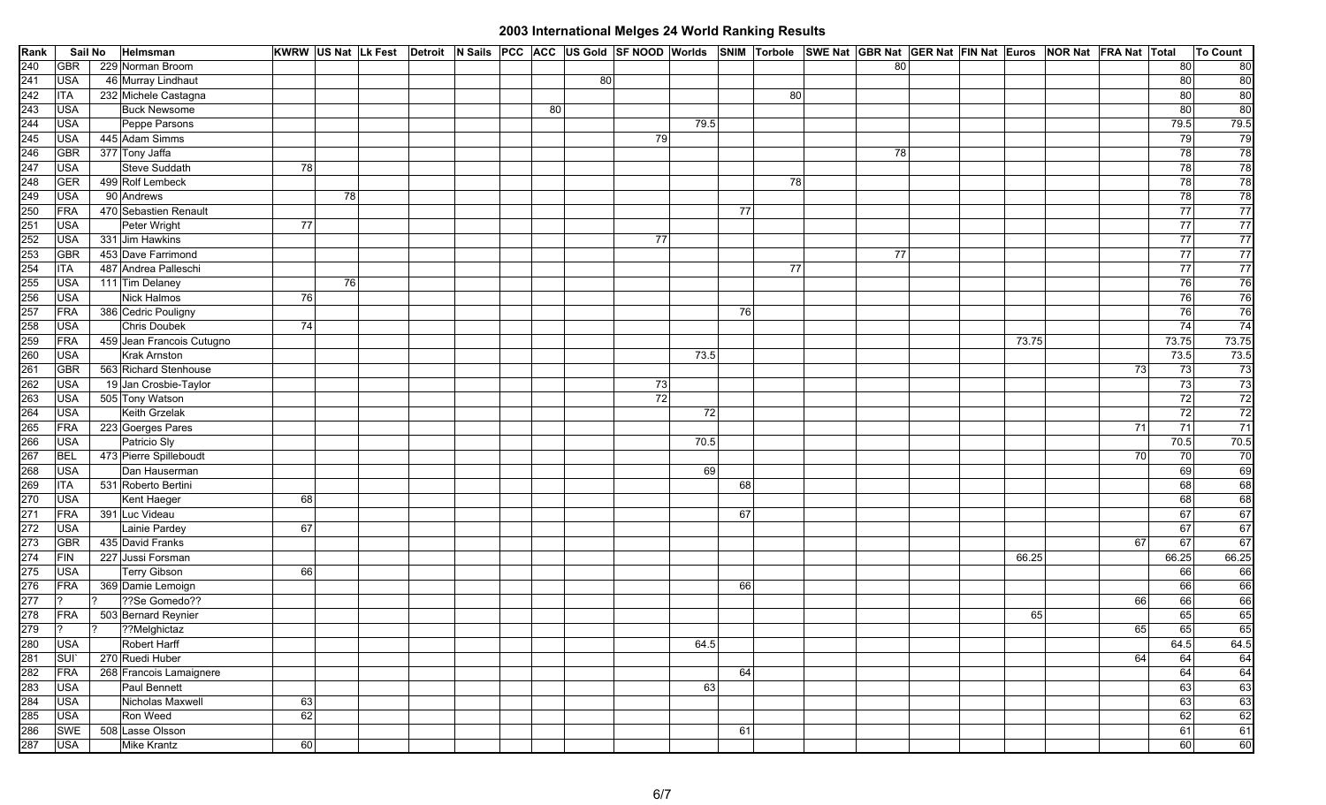| Rank | Sail No               | Helmsman                  |    |    |  |    |    |    |      |    |    | KWRW US Nat Lk Fest Detroit N Sails PCC ACC US Gold SF NOOD Worlds SNIM Torbole SWE Nat GBR Nat GER Nat FIN Nat Euros NOR Nat FRA Nat Total |  |       |    |       | <b>To Count</b>                                      |
|------|-----------------------|---------------------------|----|----|--|----|----|----|------|----|----|---------------------------------------------------------------------------------------------------------------------------------------------|--|-------|----|-------|------------------------------------------------------|
| 240  | <b>GBR</b>            | 229 Norman Broom          |    |    |  |    |    |    |      |    |    | 80                                                                                                                                          |  |       |    | 80    | 80                                                   |
| 241  | <b>USA</b>            | 46 Murray Lindhaut        |    |    |  |    | 80 |    |      |    |    |                                                                                                                                             |  |       |    | 80    | 80                                                   |
| 242  | <b>ITA</b>            | 232 Michele Castagna      |    |    |  |    |    |    |      |    | 80 |                                                                                                                                             |  |       |    | 80    | $\begin{array}{c}\n 80 \\ \hline\n 80\n \end{array}$ |
| 243  | <b>USA</b>            | <b>Buck Newsome</b>       |    |    |  | 80 |    |    |      |    |    |                                                                                                                                             |  |       |    | 80    |                                                      |
| 244  | <b>USA</b>            | Peppe Parsons             |    |    |  |    |    |    | 79.5 |    |    |                                                                                                                                             |  |       |    | 79.5  | 79.5                                                 |
| 245  | <b>USA</b>            | 445 Adam Simms            |    |    |  |    |    | 79 |      |    |    |                                                                                                                                             |  |       |    | 79    | 79                                                   |
| 246  | <b>GBR</b>            | 377 Tony Jaffa            |    |    |  |    |    |    |      |    |    | 78                                                                                                                                          |  |       |    | 78    | 78                                                   |
| 247  | <b>USA</b>            | Steve Suddath             | 78 |    |  |    |    |    |      |    |    |                                                                                                                                             |  |       |    | 78    | $\frac{78}{78}$                                      |
| 248  | <b>GER</b>            | 499 Rolf Lembeck          |    |    |  |    |    |    |      |    | 78 |                                                                                                                                             |  |       |    | 78    |                                                      |
| 249  | <b>USA</b>            | 90 Andrews                |    | 78 |  |    |    |    |      |    |    |                                                                                                                                             |  |       |    | 78    | 78                                                   |
| 250  | FRA                   | 470 Sebastien Renault     |    |    |  |    |    |    |      | 77 |    |                                                                                                                                             |  |       |    | 77    | $\frac{77}{77}$                                      |
| 251  | <b>USA</b>            | Peter Wright              | 77 |    |  |    |    |    |      |    |    |                                                                                                                                             |  |       |    | 77    |                                                      |
| 252  | <b>USA</b>            | 331 Jim Hawkins           |    |    |  |    |    | 77 |      |    |    |                                                                                                                                             |  |       |    | 77    | $\overline{77}$                                      |
| 253  | <b>GBR</b>            | 453 Dave Farrimond        |    |    |  |    |    |    |      |    |    | 77                                                                                                                                          |  |       |    | 77    | 77                                                   |
| 254  | <b>ITA</b>            | 487 Andrea Palleschi      |    |    |  |    |    |    |      |    | 77 |                                                                                                                                             |  |       |    | 77    | $\overline{77}$                                      |
| 255  | <b>USA</b>            | 111 Tim Delaney           |    | 76 |  |    |    |    |      |    |    |                                                                                                                                             |  |       |    | 76    | 76                                                   |
| 256  | <b>USA</b>            | Nick Halmos               | 76 |    |  |    |    |    |      |    |    |                                                                                                                                             |  |       |    | 76    | $\frac{76}{76}$                                      |
| 257  | FRA                   | 386 Cedric Pouligny       |    |    |  |    |    |    |      | 76 |    |                                                                                                                                             |  |       |    | 76    |                                                      |
| 258  | <b>USA</b>            | Chris Doubek              | 74 |    |  |    |    |    |      |    |    |                                                                                                                                             |  |       |    | 74    | 74                                                   |
| 259  | FRA                   | 459 Jean Francois Cutugno |    |    |  |    |    |    |      |    |    |                                                                                                                                             |  | 73.75 |    | 73.75 | 73.75                                                |
| 260  | <b>USA</b>            | Krak Arnston              |    |    |  |    |    |    | 73.5 |    |    |                                                                                                                                             |  |       |    | 73.5  | $\overline{73.5}$                                    |
| 261  | GBR                   | 563 Richard Stenhouse     |    |    |  |    |    |    |      |    |    |                                                                                                                                             |  |       | 73 | 73    | 73                                                   |
| 262  | <b>USA</b>            | 19 Jan Crosbie-Taylor     |    |    |  |    |    | 73 |      |    |    |                                                                                                                                             |  |       |    | 73    | $\frac{73}{72}$                                      |
| 263  | <b>USA</b>            | 505 Tony Watson           |    |    |  |    |    | 72 |      |    |    |                                                                                                                                             |  |       |    | 72    |                                                      |
| 264  | <b>USA</b>            | Keith Grzelak             |    |    |  |    |    |    | 72   |    |    |                                                                                                                                             |  |       |    | 72    | $\overline{72}$                                      |
| 265  | FRA                   | 223 Goerges Pares         |    |    |  |    |    |    |      |    |    |                                                                                                                                             |  |       | 71 | $71$  | 71                                                   |
| 266  | <b>USA</b>            | Patricio Sly              |    |    |  |    |    |    | 70.5 |    |    |                                                                                                                                             |  |       |    | 70.5  | 70.5                                                 |
| 267  | <b>BEL</b>            | 473 Pierre Spilleboudt    |    |    |  |    |    |    |      |    |    |                                                                                                                                             |  |       | 70 | 70    | 70                                                   |
| 268  | <b>USA</b>            | Dan Hauserman             |    |    |  |    |    |    | 69   |    |    |                                                                                                                                             |  |       |    | 69    | $\begin{array}{c}\n 69 \\ \hline\n 68\n \end{array}$ |
| 269  | <b>ITA</b>            | 531 Roberto Bertini       |    |    |  |    |    |    |      | 68 |    |                                                                                                                                             |  |       |    | 68    |                                                      |
| 270  | <b>USA</b>            | Kent Haeger               | 68 |    |  |    |    |    |      |    |    |                                                                                                                                             |  |       |    | 68    | 68                                                   |
| 271  | FRA                   | 391 Luc Videau            |    |    |  |    |    |    |      | 67 |    |                                                                                                                                             |  |       |    | 67    | 67                                                   |
| 272  | <b>USA</b>            | Lainie Pardey             | 67 |    |  |    |    |    |      |    |    |                                                                                                                                             |  |       |    | 67    | 67                                                   |
| 273  | <b>GBR</b>            | 435 David Franks          |    |    |  |    |    |    |      |    |    |                                                                                                                                             |  |       | 67 | 67    | 67                                                   |
| 274  | FIN                   | 227 Jussi Forsman         |    |    |  |    |    |    |      |    |    |                                                                                                                                             |  | 66.25 |    | 66.25 | 66.25                                                |
| 275  | <b>USA</b>            | <b>Terry Gibson</b>       | 66 |    |  |    |    |    |      |    |    |                                                                                                                                             |  |       |    | 66    | 66                                                   |
| 276  | <b>FRA</b>            | 369 Damie Lemoign         |    |    |  |    |    |    |      | 66 |    |                                                                                                                                             |  |       |    | 66    | 66                                                   |
| 277  | 2<br>12               | ??Se Gomedo??             |    |    |  |    |    |    |      |    |    |                                                                                                                                             |  |       | 66 | 66    | $\frac{66}{65}$                                      |
| 278  | FRA<br>$\overline{2}$ | 503 Bernard Reynier       |    |    |  |    |    |    |      |    |    |                                                                                                                                             |  | 65    |    | 65    |                                                      |
| 279  | 1?                    | ??Melghictaz              |    |    |  |    |    |    |      |    |    |                                                                                                                                             |  |       | 65 | 65    | 65                                                   |
| 280  | <b>USA</b>            | <b>Robert Harff</b>       |    |    |  |    |    |    | 64.5 |    |    |                                                                                                                                             |  |       |    | 64.5  | 64.5                                                 |
| 281  | SUI <sup>-</sup>      | 270 Ruedi Huber           |    |    |  |    |    |    |      |    |    |                                                                                                                                             |  |       | 64 | 64    | 64                                                   |
| 282  | FRA                   | 268 Francois Lamaignere   |    |    |  |    |    |    |      | 64 |    |                                                                                                                                             |  |       |    | 64    | 64                                                   |
| 283  | <b>USA</b>            | Paul Bennett              |    |    |  |    |    |    | 63   |    |    |                                                                                                                                             |  |       |    | 63    | 63                                                   |
| 284  | <b>USA</b>            | Nicholas Maxwell          | 63 |    |  |    |    |    |      |    |    |                                                                                                                                             |  |       |    | 63    | 63                                                   |
| 285  | <b>USA</b>            | Ron Weed                  | 62 |    |  |    |    |    |      |    |    |                                                                                                                                             |  |       |    | 62    | 62                                                   |
| 286  | SWE                   | 508 Lasse Olsson          |    |    |  |    |    |    |      | 61 |    |                                                                                                                                             |  |       |    | 61    | 61                                                   |
| 287  | <b>USA</b>            | <b>Mike Krantz</b>        | 60 |    |  |    |    |    |      |    |    |                                                                                                                                             |  |       |    | 60    | 60                                                   |